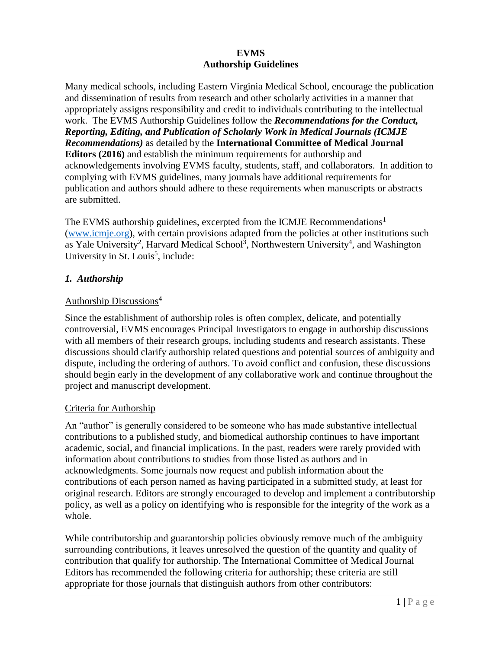### **EVMS Authorship Guidelines**

Many medical schools, including Eastern Virginia Medical School, encourage the publication and dissemination of results from research and other scholarly activities in a manner that appropriately assigns responsibility and credit to individuals contributing to the intellectual work. The EVMS Authorship Guidelines follow the *Recommendations for the Conduct, Reporting, Editing, and Publication of Scholarly Work in Medical Journals (ICMJE Recommendations)* as detailed by the **International Committee of Medical Journal Editors (2016)** and establish the minimum requirements for authorship and acknowledgements involving EVMS faculty, students, staff, and collaborators. In addition to complying with EVMS guidelines, many journals have additional requirements for publication and authors should adhere to these requirements when manuscripts or abstracts are submitted.

The EVMS authorship guidelines, excerpted from the ICMJE Recommendations<sup>1</sup> [\(www.icmje.org\)](http://www.icmje.org/), with certain provisions adapted from the policies at other institutions such as Yale University<sup>2</sup>, Harvard Medical School<sup>3</sup>, Northwestern University<sup>4</sup>, and Washington University in St. Louis<sup>5</sup>, include:

### *1. Authorship*

### Authorship Discussions<sup>4</sup>

Since the establishment of authorship roles is often complex, delicate, and potentially controversial, EVMS encourages Principal Investigators to engage in authorship discussions with all members of their research groups, including students and research assistants. These discussions should clarify authorship related questions and potential sources of ambiguity and dispute, including the ordering of authors. To avoid conflict and confusion, these discussions should begin early in the development of any collaborative work and continue throughout the project and manuscript development.

#### Criteria for Authorship

An "author" is generally considered to be someone who has made substantive intellectual contributions to a published study, and biomedical authorship continues to have important academic, social, and financial implications. In the past, readers were rarely provided with information about contributions to studies from those listed as authors and in acknowledgments. Some journals now request and publish information about the contributions of each person named as having participated in a submitted study, at least for original research. Editors are strongly encouraged to develop and implement a contributorship policy, as well as a policy on identifying who is responsible for the integrity of the work as a whole.

While contributorship and guarantorship policies obviously remove much of the ambiguity surrounding contributions, it leaves unresolved the question of the quantity and quality of contribution that qualify for authorship. The International Committee of Medical Journal Editors has recommended the following criteria for authorship; these criteria are still appropriate for those journals that distinguish authors from other contributors: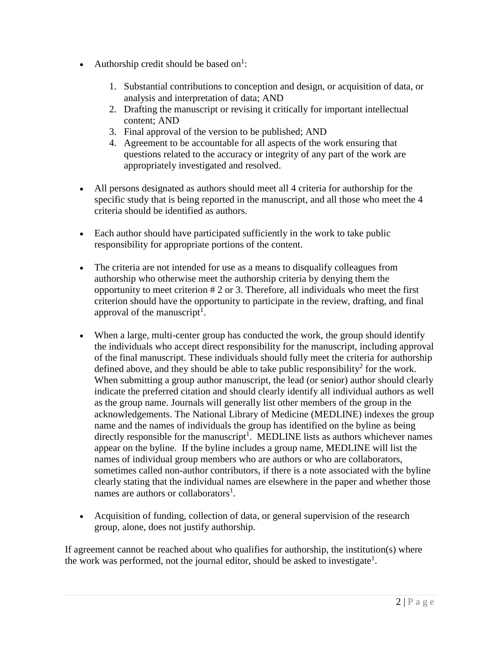- Authorship credit should be based on<sup>1</sup>:
	- 1. Substantial contributions to conception and design, or acquisition of data, or analysis and interpretation of data; AND
	- 2. Drafting the manuscript or revising it critically for important intellectual content; AND
	- 3. Final approval of the version to be published; AND
	- 4. Agreement to be accountable for all aspects of the work ensuring that questions related to the accuracy or integrity of any part of the work are appropriately investigated and resolved.
- All persons designated as authors should meet all 4 criteria for authorship for the specific study that is being reported in the manuscript, and all those who meet the 4 criteria should be identified as authors.
- Each author should have participated sufficiently in the work to take public responsibility for appropriate portions of the content.
- The criteria are not intended for use as a means to disqualify colleagues from authorship who otherwise meet the authorship criteria by denying them the opportunity to meet criterion # 2 or 3. Therefore, all individuals who meet the first criterion should have the opportunity to participate in the review, drafting, and final approval of the manuscript<sup>1</sup>.
- When a large, multi-center group has conducted the work, the group should identify the individuals who accept direct responsibility for the manuscript, including approval of the final manuscript. These individuals should fully meet the criteria for authorship defined above, and they should be able to take public responsibility<sup>2</sup> for the work. When submitting a group author manuscript, the lead (or senior) author should clearly indicate the preferred citation and should clearly identify all individual authors as well as the group name. Journals will generally list other members of the group in the acknowledgements. The National Library of Medicine (MEDLINE) indexes the group name and the names of individuals the group has identified on the byline as being directly responsible for the manuscript<sup>1</sup>. MEDLINE lists as authors whichever names appear on the byline. If the byline includes a group name, MEDLINE will list the names of individual group members who are authors or who are collaborators, sometimes called non-author contributors, if there is a note associated with the byline clearly stating that the individual names are elsewhere in the paper and whether those names are authors or collaborators<sup>1</sup>.
- Acquisition of funding, collection of data, or general supervision of the research group, alone, does not justify authorship.

If agreement cannot be reached about who qualifies for authorship, the institution(s) where the work was performed, not the journal editor, should be asked to investigate<sup>1</sup>.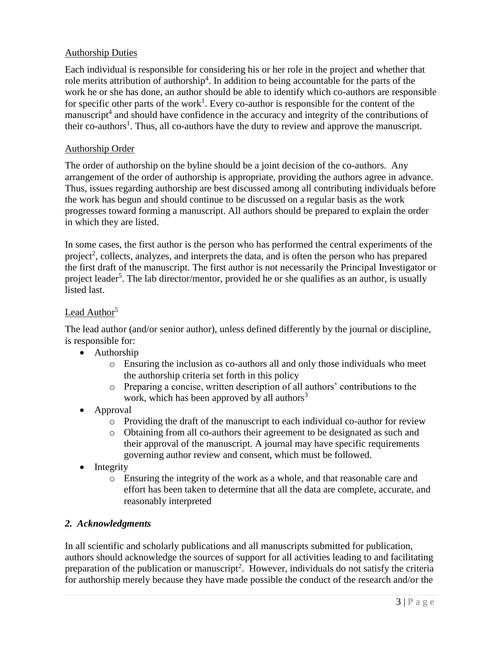## Authorship Duties

Each individual is responsible for considering his or her role in the project and whether that role merits attribution of authorship<sup>4</sup>. In addition to being accountable for the parts of the work he or she has done, an author should be able to identify which co-authors are responsible for specific other parts of the work<sup>1</sup>. Every co-author is responsible for the content of the manuscript<sup>4</sup> and should have confidence in the accuracy and integrity of the contributions of their co-authors<sup>1</sup>. Thus, all co-authors have the duty to review and approve the manuscript.

### Authorship Order

The order of authorship on the byline should be a joint decision of the co-authors. Any arrangement of the order of authorship is appropriate, providing the authors agree in advance. Thus, issues regarding authorship are best discussed among all contributing individuals before the work has begun and should continue to be discussed on a regular basis as the work progresses toward forming a manuscript. All authors should be prepared to explain the order in which they are listed.

In some cases, the first author is the person who has performed the central experiments of the project<sup>2</sup>, collects, analyzes, and interprets the data, and is often the person who has prepared the first draft of the manuscript. The first author is not necessarily the Principal Investigator or project leader<sup>5</sup>. The lab director/mentor, provided he or she qualifies as an author, is usually listed last.

## Lead Author<sup>5</sup>

The lead author (and/or senior author), unless defined differently by the journal or discipline, is responsible for:

- Authorship
	- o Ensuring the inclusion as co-authors all and only those individuals who meet the authorship criteria set forth in this policy
	- o Preparing a concise, written description of all authors' contributions to the work, which has been approved by all authors<sup>3</sup>
- Approval
	- o Providing the draft of the manuscript to each individual co-author for review
	- o Obtaining from all co-authors their agreement to be designated as such and their approval of the manuscript. A journal may have specific requirements governing author review and consent, which must be followed.
- Integrity
	- o Ensuring the integrity of the work as a whole, and that reasonable care and effort has been taken to determine that all the data are complete, accurate, and reasonably interpreted

### *2. Acknowledgments*

In all scientific and scholarly publications and all manuscripts submitted for publication, authors should acknowledge the sources of support for all activities leading to and facilitating preparation of the publication or manuscript<sup>2</sup>. However, individuals do not satisfy the criteria for authorship merely because they have made possible the conduct of the research and/or the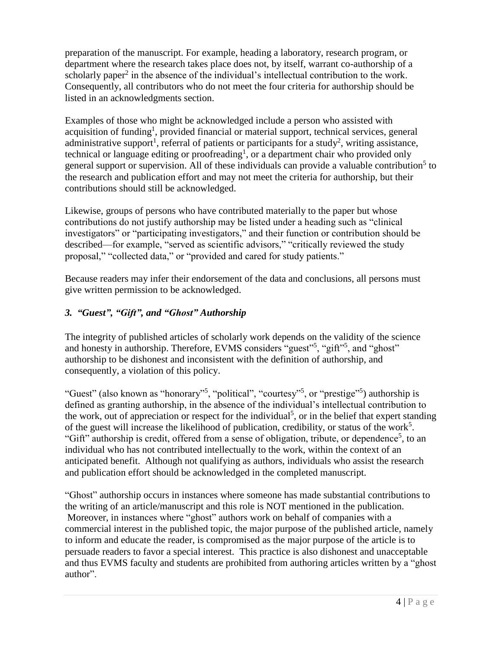preparation of the manuscript. For example, heading a laboratory, research program, or department where the research takes place does not, by itself, warrant co-authorship of a scholarly paper<sup>2</sup> in the absence of the individual's intellectual contribution to the work. Consequently, all contributors who do not meet the four criteria for authorship should be listed in an acknowledgments section.

Examples of those who might be acknowledged include a person who assisted with acquisition of funding<sup>1</sup>, provided financial or material support, technical services, general administrative support<sup>1</sup>, referral of patients or participants for a study<sup>2</sup>, writing assistance, technical or language editing or proofreading<sup>1</sup>, or a department chair who provided only general support or supervision. All of these individuals can provide a valuable contribution<sup>5</sup> to the research and publication effort and may not meet the criteria for authorship, but their contributions should still be acknowledged.

Likewise, groups of persons who have contributed materially to the paper but whose contributions do not justify authorship may be listed under a heading such as "clinical investigators" or "participating investigators," and their function or contribution should be described—for example, "served as scientific advisors," "critically reviewed the study proposal," "collected data," or "provided and cared for study patients."

Because readers may infer their endorsement of the data and conclusions, all persons must give written permission to be acknowledged.

# *3. "Guest", "Gift", and "Ghost" Authorship*

The integrity of published articles of scholarly work depends on the validity of the science and honesty in authorship. Therefore, EVMS considers "guest"<sup>5</sup>, "gift"<sup>5</sup>, and "ghost" authorship to be dishonest and inconsistent with the definition of authorship, and consequently, a violation of this policy.

"Guest" (also known as "honorary"<sup>5</sup>, "political", "courtesy"<sup>5</sup>, or "prestige"<sup>5</sup>) authorship is defined as granting authorship, in the absence of the individual's intellectual contribution to the work, out of appreciation or respect for the individual<sup>5</sup>, or in the belief that expert standing of the guest will increase the likelihood of publication, credibility, or status of the work<sup>5</sup>. "Gift" authorship is credit, offered from a sense of obligation, tribute, or dependence<sup>5</sup>, to an individual who has not contributed intellectually to the work, within the context of an anticipated benefit. Although not qualifying as authors, individuals who assist the research and publication effort should be acknowledged in the completed manuscript.

"Ghost" authorship occurs in instances where someone has made substantial contributions to the writing of an article/manuscript and this role is NOT mentioned in the publication. Moreover, in instances where "ghost" authors work on behalf of companies with a commercial interest in the published topic, the major purpose of the published article, namely to inform and educate the reader, is compromised as the major purpose of the article is to persuade readers to favor a special interest. This practice is also dishonest and unacceptable and thus EVMS faculty and students are prohibited from authoring articles written by a "ghost author".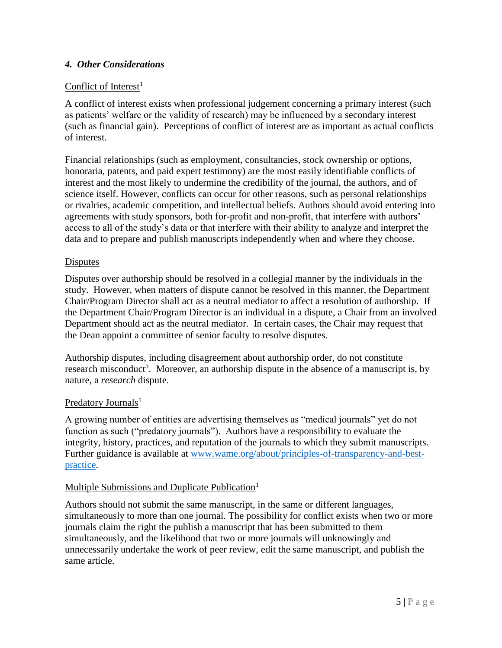## *4. Other Considerations*

# Conflict of Interest<sup>1</sup>

A conflict of interest exists when professional judgement concerning a primary interest (such as patients' welfare or the validity of research) may be influenced by a secondary interest (such as financial gain). Perceptions of conflict of interest are as important as actual conflicts of interest.

Financial relationships (such as employment, consultancies, stock ownership or options, honoraria, patents, and paid expert testimony) are the most easily identifiable conflicts of interest and the most likely to undermine the credibility of the journal, the authors, and of science itself. However, conflicts can occur for other reasons, such as personal relationships or rivalries, academic competition, and intellectual beliefs. Authors should avoid entering into agreements with study sponsors, both for-profit and non-profit, that interfere with authors' access to all of the study's data or that interfere with their ability to analyze and interpret the data and to prepare and publish manuscripts independently when and where they choose.

### **Disputes**

Disputes over authorship should be resolved in a collegial manner by the individuals in the study. However, when matters of dispute cannot be resolved in this manner, the Department Chair/Program Director shall act as a neutral mediator to affect a resolution of authorship. If the Department Chair/Program Director is an individual in a dispute, a Chair from an involved Department should act as the neutral mediator. In certain cases, the Chair may request that the Dean appoint a committee of senior faculty to resolve disputes.

Authorship disputes, including disagreement about authorship order, do not constitute research misconduct<sup>5</sup>. Moreover, an authorship dispute in the absence of a manuscript is, by nature, a *research* dispute.

### Predatory Journals<sup>1</sup>

A growing number of entities are advertising themselves as "medical journals" yet do not function as such ("predatory journals"). Authors have a responsibility to evaluate the integrity, history, practices, and reputation of the journals to which they submit manuscripts. Further guidance is available at [www.wame.org/about/principles-of-transparency-and-best](http://www.wame.org/about/principles-of-transparency-and-best-practice)[practice.](http://www.wame.org/about/principles-of-transparency-and-best-practice)

### Multiple Submissions and Duplicate Publication<sup>1</sup>

Authors should not submit the same manuscript, in the same or different languages, simultaneously to more than one journal. The possibility for conflict exists when two or more journals claim the right the publish a manuscript that has been submitted to them simultaneously, and the likelihood that two or more journals will unknowingly and unnecessarily undertake the work of peer review, edit the same manuscript, and publish the same article.